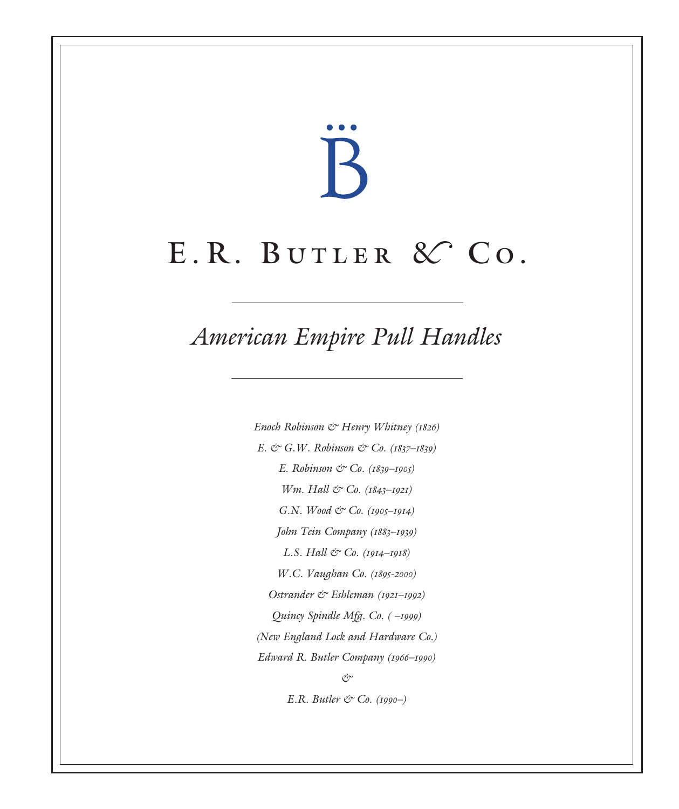# $\mathbb B$

# E.R. BUTLER & CO.

## *American Empire Pull Handles*

Enoch Robinson & Henry Whitney (1826) E.  $\circlearrowleft$  G.W. Robinson  $\circlearrowleft$  Co. (1837–1839) E. Robinson & Co. (1839-1905) Wm. Hall & Co. (1843-1921) G.N. Wood & Co. (1905-1914) John Tein Company (1883–1939) L.S. Hall  $\circ$  Co. (1914–1918) W.C. Vaughan Co. (1895-2000) Ostrander & Eshleman (1921–1992) Quincy Spindle Mfg. Co. ( –1999) (New England Lock and Hardware Co.) Edward R. Butler Company (1966–1990) &

E.R. Butler  $\mathfrak{C}$  Co. (1990–)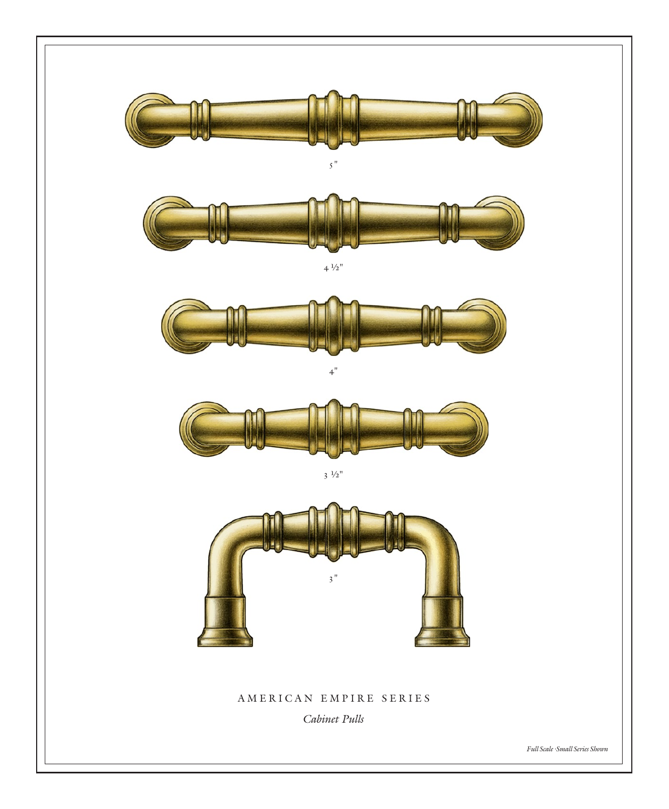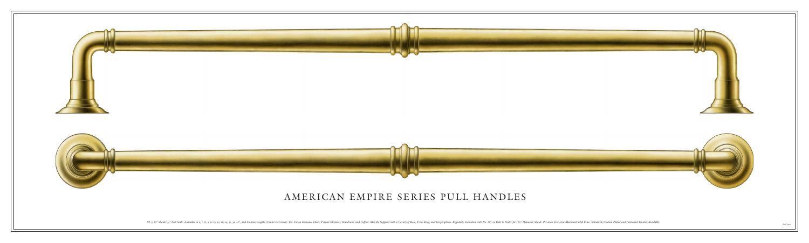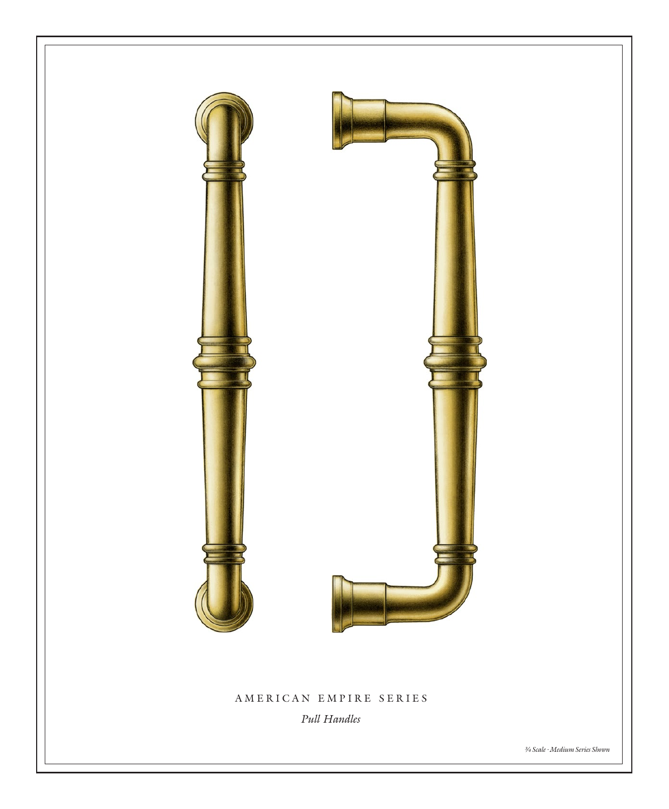